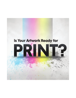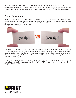Let's take a look at a few things (in no particular order) your printable file is going to need in order to make it safely through the press into the hands of your happy clients. Please bear in mind that these are just standard rules and you should check with your printer to verify that they are using the same measurements, etc.

#### **Proper Resolution**

When you're designing for web, your images are usually 72 dpi (Dots Per Inch), which is standard for screen resolution. For most print projects, you're going to need more than 4 times that resolution: 300 dpi. If you try and print your files at 72 dpi you will end up with blurry, fuzzy pictures, and you want the highest quality for your clients, right?



One drawback to printing at such a high-resolution is that it can be taxing on your computer, especially for larger documents. Saving, moving layers and adding effects can become cumbersome. When this happens, it's best to split the file you're working on into parts and save them out as separate, smaller files, linked to the larger Photoshop file. A great way to utilize this effectively is through the use of Photoshop's smart objects.

If your design is made up of 100% vector elements, you shouldn't have this problem as long as the file is saved out properly in Illustrator, as a vector EPS, AI, or PDF. Check with your printer to see which file types they can handle.

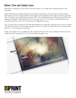### **Bleed, Trim and Safety Lines**

Whenever I'm setting up a file for print, the first thing I do is create three important areas on the document:

Bleed: Whenever your artwork extends to the edge of a document, you must set up a bleed area so that when your work is being printed it doesn't get cut-off irregularly at the edges and leave ugly white lines. Therefore, your artwork should extend 1/8″ (.125 inches) beyond the live area of your document whenever necessary. This means that if your business card is 2 x 3.5" when it's finished, then your document should be 2.25 x 3.75″ when you are designing the piece.

Trim: The trim line is simply the line that shows where your document is going to be cut, and is usually 1/8″ after the bleed. So if your page is going to be 8.5 x 11″ when it's done, the trim line would make an 8.5 x 11″ box inside your document.

Safety: The safety line is an additional 1/8" inside the trim line. All of your artwork and text should be inside this box to ensure that it is not cut-off when the page is cut.



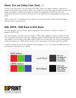## **Bleed, Trim and Safety Lines (Cont....)**

So why do we need bleed, trim and safety lines? Well, paper is an organic material, meaning it is subject to temperature and moisture. When your printer is running many pages through the press, the paper can expand or contract very slightly and offset the registration of the printer. On most professional machines this offset is minimal, but in my experience it's always better to be safe than sorry!

Here's a bonus tip: In Photoshop you can right-click on the rulers when visible to switch between different areas of measurement!

### **RGB, CMYK, 100K Black & Rich Black**

As a web designer, you're probably used to seeing your work rendered in millions of colours, in gorgeous RGB format.

As a print designer, your work must be created in CMYK (Cyan, Magenta, Yellow and Black) format. This is because most printers have Cyan, Magenta, Yellow and Black inks that they use to reproduce your artwork. If you convert a vivid RGB image to CMYK you can see that a lot of the colours become muted and washed out. CMYK doesn't quite have the same reach in the colour spectrum as RGB.

In CMYK printing, values can be measured in percentages of C, M, Y or K much like RGB values can be measured in amounts of R, G and B.